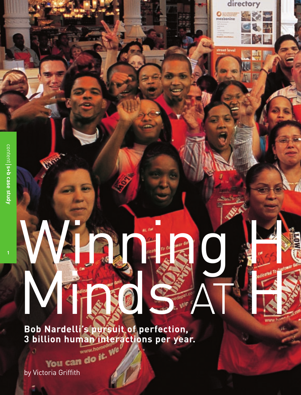**1**

# Maria S **Bob Nardelli's pursuit of perfection,**  Manufacture To Manufacture To **3 billion human interactions per year.**<br>You can do it.

Windows Hall

We

directory

 $\bigcirc$  =  $\bigcirc$  =  $\bigcirc$ 

treet level

by Victoria Griffith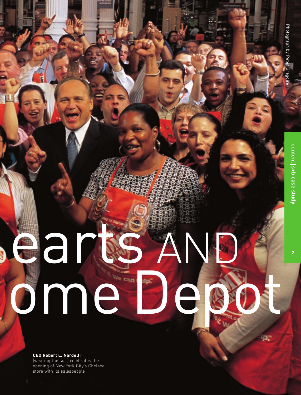Photograph by Peter Gregoire

. Grego

Photograph by Pet

**2**

# ome Depot earts AND

**CEO Robert L. Nardelli**  (wearing the suit) celebrates the opening of New York City's Chelsea store with its salespeople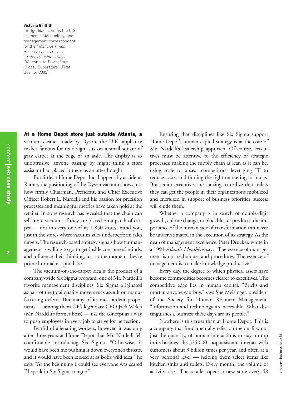#### **Victoria Griffith**

(griffgor@aol.com) is the U.S. science, biotechnology, and management correspondent for the *Financial Times*. Her last case study in *strategy+business* was "Welcome to Tesco, Your 'Glocal' Superstore" (First Quarter 2002).

At a Home Depot store just outside Atlanta, a vacuum cleaner made by Dyson, the U.K. appliance maker famous for its design, sits on a small square of gray carpet at the edge of an aisle. The display is so unobtrusive, anyone passing by might think a store assistant had placed it there as an afterthought.

But little at Home Depot Inc. happens by accident. Rather, the positioning of the Dyson vacuum shows just how firmly Chairman, President, and Chief Executive Officer Robert L. Nardelli and his passion for precision processes and meaningful metrics have taken hold at the retailer. In-store research has revealed that the chain can sell more vacuums if they are placed on a patch of carpet — not in every one of its 1,850 stores, mind you, just in the stores where vacuum sales underperform sales targets. The research-based strategy signals how far management is willing to go to get inside consumers' minds, and influence their thinking, just at the moment they're primed to make a purchase.

The vacuum-on-the-carpet idea is the product of a company-wide Six Sigma program, one of Mr. Nardelli's favorite management disciplines. Six Sigma originated as part of the total quality movement's assault on manufacturing defects. But many of its most ardent proponents — among them GE's legendary CEO Jack Welch (Mr. Nardelli's former boss) — use the concept as a way to push employees in every job to strive for perfection.

Fearful of alienating workers, however, it was only after three years at Home Depot that Mr. Nardelli felt comfortable introducing Six Sigma. "Otherwise, it would have been me pushing it down everyone's throats, and it would have been looked at as Bob's wild idea," he says. "At the beginning I could see everyone was scared I'd speak in Six Sigma tongue."

Ensuring that disciplines like Six Sigma support Home Depot's human capital strategy is at the core of Mr. Nardelli's leadership approach. Of course, executives must be attentive to the efficiency of strategic processes: making the supply chain as lean as it can be, using scale to unseat competitors, leveraging IT to reduce costs, and finding the right marketing formulas. But senior executives are starting to realize that unless they can get the people in their organizations mobilized and energized in support of business priorities, success will elude them.

Whether a company is in search of double-digit growth, culture change, or blockbluster products, the importance of the human side of transformation can never be underestimated in the execution of its strategy. As the dean of management excellence, Peter Drucker, wrote in a 1994 *Atlantic Monthly* essay: "The essence of management is not techniques and procedures. The essence of management is to make knowledge productive."

Every day, the degree to which physical assets have become commodities becomes clearer to executives. The competitive edge lies in human capital. "Bricks and mortar, anyone can buy," says Sue Meisinger, president of the Society for Human Resource Management. "Information and technology are accessible. What distinguishes a business these days are its people."

Nowhere is this truer than at Home Depot. This is a company that fundamentally relies on the quality, not just the quantity, of human interactions to stay on top in its business. Its 325,000 shop assistants interact with customers about 3 billion times per year, and often at a very personal level — helping them select items like kitchen sinks and toilets. Every month, the volume of activity rises. The retailer opens a new store every 48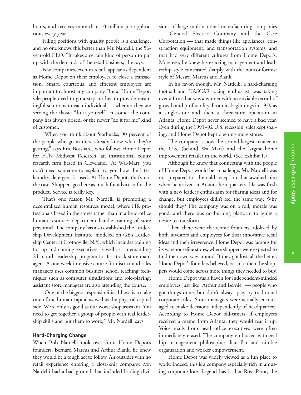Filling positions with quality people is a challenge, and no one knows this better than Mr. Nardelli, the 56 year-old CEO. "It takes a certain kind of person to put up with the demands of the retail business," he says.

Few companies, even in retail, appear as dependent as Home Depot on their employees to close a transaction. Smart, courteous, and efficient employees are important to almost any company. But at Home Depot, salespeople need to go a step further to provide meaningful solutions to each individual — whether they are serving the classic "do it yourself" customer the company has always prized, or the newer "do it for me" kind of customer.

"When you think about Starbucks, 90 percent of the people who go in there already know what they're getting," says Eric Bosshard, who follows Home Depot for FTN Midwest Research, an institutional equity research firm based in Cleveland. "At Wal-Mart, you don't need someone to explain to you how the latest laundry detergent is used. At Home Depot, that's not the case. Shoppers go there as much for advice as for the product. Service is really key."

That's one reason Mr. Nardelli is promoting a decentralized human resources model, where HR professionals based in the stores rather than in a head-office human resources department handle training of store personnel. The company has also established the Leadership Development Institute, modeled on GE's Leadership Center at Crotonville, N.Y., which includes training for up-and-coming executives as well as a demanding 24-month leadership program for fast-track store managers. A one-week intensive course for district and sales managers uses common business school teaching techniques such as computer simulations and role-playing; assistant store managers are also attending the course.

"One of the biggest responsibilities I have is to take care of the human capital as well as the physical capital side. We're only as good as our worst shop assistant. You need to get together a group of people with real leadership skills and put them to work," Mr. Nardelli says.

#### **Hard-Charging Change**

When Bob Nardelli took over from Home Depot's founders, Bernard Marcus and Arthur Blank, he knew they would be a tough act to follow. An outsider with no retail experience entering a close-knit company, Mr. Nardelli had a background that included leading divisions of large multinational manufacturing companies — General Electric Company and the Case Corporation — that made things like appliances, construction equipment, and transportation systems, and that had very different cultures from Home Depot's. Moreover, he knew his exacting management and leadership style contrasted sharply with the nonconformist style of Messrs. Marcus and Blank.

In his favor, though, Mr. Nardelli, a hard-charging football and NASCAR racing enthusiast, was taking over a firm that was a winner with an enviable record of growth and profitability. From its beginnings in 1979 as a single-store and then a three-store operation in Atlanta, Home Depot never seemed to have a bad year. Even during the 1991–92 U.S. recession, sales kept soaring, and Home Depot kept opening more stores.

The company is now the second-largest retailer in the U.S. (behind Wal-Mart) and the largest home improvement retailer in the world. (See Exhibit 1.)

Although he knew that connecting with the people of Home Depot would be a challenge, Mr. Nardelli was not prepared for the cold reception that awaited him when he arrived at Atlanta headquarters. He was fresh with a new leader's enthusiasm for sharing ideas and for change, but employees didn't feel the same way. Why should they? The company was on a roll, morale was good, and there was no burning platform to ignite a desire to transform.

Then there were the iconic founders, idolized by both investors and employees for their innovative retail ideas and their irreverence. Home Depot was famous for its warehouselike stores, where shoppers were expected to find their own way around. If they got lost, all the better, Home Depot's founders believed, because then the shoppers would come across more things they needed to buy.

Home Depot was a haven for independent-minded employees just like "Arthur and Bernie" — people who got things done, but didn't always play by traditional corporate rules. Store managers were actually encouraged to make decisions independently of headquarters. According to Home Depot old-timers, if employees received a memo from Atlanta, they would tear it up. Voice mails from head office executives were often immediately erased. The company embraced with zeal hip management philosophies like flat and nimble organization and worker empowerment.

Home Depot was widely viewed as a fun place to work. Indeed, this is a company especially rich in amusing corporate lore. Legend has it that Ross Perot, the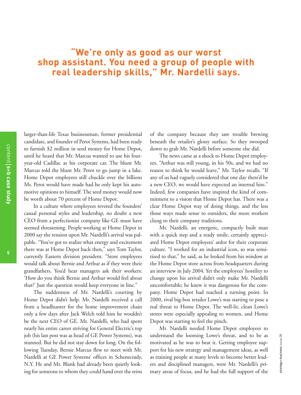## **"We're only as good as our worst shop assistant. You need a group of people with real leadership skills," Mr. Nardelli says.**

larger-than-life Texas businessman, former presidential candidate, and founder of Perot Systems, had been ready to furnish \$2 million in seed money for Home Depot, until he heard that Mr. Marcus wanted to use his fouryear-old Cadillac as his corporate car. The blunt Mr. Marcus told the blunt Mr. Perot to go jump in a lake. Home Depot employees still chuckle over the billions Mr. Perot would have made had he only kept his automotive opinions to himself. The seed money would now be worth about 70 percent of Home Depot.

In a culture where employees revered the founders' casual personal styles and leadership, no doubt a new CEO from a perfectionist company like GE must have seemed threatening. People working at Home Depot in 2000 say the tension upon Mr. Nardelli's arrival was palpable. "You've got to realize what energy and excitement there was at Home Depot back then," says Tom Taylor, currently Eastern division president. "Store employees would talk about Bernie and Arthur as if they were their grandfathers. You'd hear managers ask their workers: 'How do you think Bernie and Arthur would feel about that?' Just the question would keep everyone in line."

The suddenness of Mr. Nardelli's courting by Home Depot didn't help. Mr. Nardelli received a call from a headhunter for the home improvement chain only a few days after Jack Welch told him he wouldn't be the next CEO of GE. Mr. Nardelli, who had spent nearly his entire career striving for General Electric's top job (his last post was as head of GE Power Systems), was stunned. But he did not stay down for long. On the following Tuesday, Bernie Marcus flew to meet with Mr. Nardelli at GE Power Systems' offices in Schenectady, N.Y. He and Mr. Blank had already been quietly looking for someone to whom they could hand over the reins of the company because they saw trouble brewing beneath the retailer's glossy surface. So they swooped down to grab Mr. Nardelli before someone else did.

The news came as a shock to Home Depot employees. "Arthur was still young, in his 50s, and we had no reason to think he would leave," Mr. Taylor recalls. "If any of us had vaguely considered that one day there'd be a new CEO, we would have expected an internal hire." Indeed, few companies have inspired the kind of commitment to a vision that Home Depot has. There was a clear Home Depot way of doing things, and the less those ways made sense to outsiders, the more workers clung to their company traditions.

Mr. Nardelli, an energetic, compactly built man with a quick step and a ready smile, certainly appreciated Home Depot employees' ardor for their corporate culture. "I worked for an industrial icon, so was sensitized to that," he said, as he looked from his window at the Home Depot store across from headquarters during an interview in July 2004. Yet the employees' hostility to change upon his arrival didn't only make Mr. Nardelli uncomfortable; he knew it was dangerous for the company. Home Depot had reached a turning point. In 2000, rival big-box retailer Lowe's was starting to pose a real threat to Home Depot. The well-lit, clean Lowe's stores were especially appealing to women, and Home Depot was starting to feel the pinch.

Mr. Nardelli needed Home Depot employees to understand the looming Lowe's threat, and to be as motivated as he was to beat it. Getting employee support for his new strategy and management ideas, as well as training people at many levels to become better leaders and disciplined managers, were Mr. Nardelli's primary areas of focus, and he had the full support of the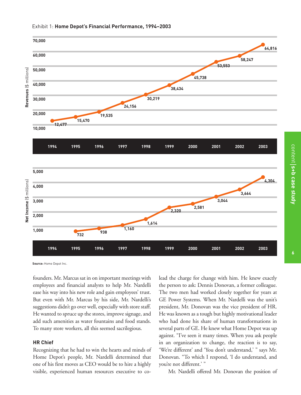

#### Exhibit 1: **Home Depot's Financial Performance, 1994–2003**



**Source:** Home Depot Inc.

founders. Mr. Marcus sat in on important meetings with employees and financial analysts to help Mr. Nardelli ease his way into his new role and gain employees' trust. But even with Mr. Marcus by his side, Mr. Nardelli's suggestions didn't go over well, especially with store staff. He wanted to spruce up the stores, improve signage, and add such amenities as water fountains and food stands. To many store workers, all this seemed sacrilegious.

#### **HR Chief**

Recognizing that he had to win the hearts and minds of Home Depot's people, Mr. Nardelli determined that one of his first moves as CEO would be to hire a highly visible, experienced human resources executive to colead the charge for change with him. He knew exactly the person to ask: Dennis Donovan, a former colleague. The two men had worked closely together for years at GE Power Systems. When Mr. Nardelli was the unit's president, Mr. Donovan was the vice president of HR. He was known as a tough but highly motivational leader who had done his share of human transformations in several parts of GE. He knew what Home Depot was up against. "I've seen it many times. When you ask people in an organization to change, the reaction is to say, 'We're different' and 'You don't understand,' " says Mr. Donovan. "To which I respond, 'I do understand, and you're not different.' "

Mr. Nardelli offered Mr. Donovan the position of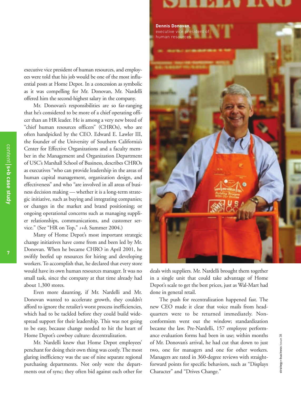executive vice president of human resources, and employees were told that his job would be one of the most influential posts at Home Depot. In a concession as symbolic as it was compelling for Mr. Donovan, Mr. Nardelli offered him the second-highest salary in the company.

Mr. Donovan's responsibilities are so far-ranging that he's considered to be more of a chief operating officer than an HR leader. He is among a very new breed of "chief human resources officers" (CHROs), who are often handpicked by the CEO. Edward E. Lawler III, the founder of the University of Southern California's Center for Effective Organizations and a faculty member in the Management and Organization Department of USC's Marshall School of Business, describes CHROs as executives "who can provide leadership in the areas of human capital management, organization design, and effectiveness" and who "are involved in all areas of business decision making — whether it is a long-term strategic initiative, such as buying and integrating companies; or changes in the market and brand positioning; or ongoing operational concerns such as managing supplier relationships, communications, and customer service." (See "HR on Top," *s+b,* Summer 2004.)

Many of Home Depot's most important strategic change initiatives have come from and been led by Mr. Donovan. When he became CHRO in April 2001, he swiftly beefed up resources for hiring and developing workers. To accomplish that, he declared that every store would have its own human resources manager. It was no small task, since the company at that time already had about 1,300 stores.

Even more daunting, if Mr. Nardelli and Mr. Donovan wanted to accelerate growth, they couldn't afford to ignore the retailer's worst process inefficiencies, which had to be tackled before they could build widespread support for their leadership. This was not going to be easy, because change needed to hit the heart of Home Depot's cowboy culture: decentralization.

Mr. Nardelli knew that Home Depot employees' penchant for doing their own thing was costly. The most glaring inefficiency was the use of nine separate regional purchasing departments. Not only were the departments out of sync; they often bid against each other for



deals with suppliers. Mr. Nardelli brought them together in a single unit that could take advantage of Home Depot's scale to get the best prices, just as Wal-Mart had done in general retail.

The push for recentralization happened fast. The new CEO made it clear that voice mails from headquarters were to be returned immediately. Nonconformism went out the window; standardization became the law. Pre-Nardelli, 157 employee performance evaluation forms had been in use; within months of Mr. Donovan's arrival, he had cut that down to just two, one for managers and one for other workers. Managers are rated in 360-degree reviews with straightforward points for specific behaviors, such as "Displays Character" and "Drives Change."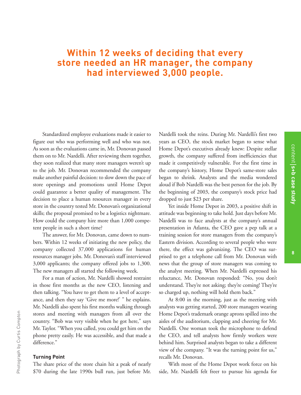## **Within 12 weeks of deciding that every store needed an HR manager, the company had interviewed 3,000 people.**

Standardized employee evaluations made it easier to figure out who was performing well and who was not. As soon as the evaluations came in, Mr. Donovan passed them on to Mr. Nardelli. After reviewing them together, they soon realized that many store managers weren't up to the job. Mr. Donovan recommended the company make another painful decision: to slow down the pace of store openings and promotions until Home Depot could guarantee a better quality of management. The decision to place a human resources manager in every store in the country tested Mr. Donovan's organizational skills; the proposal promised to be a logistics nightmare. How could the company hire more than 1,000 competent people in such a short time?

The answer, for Mr. Donovan, came down to numbers. Within 12 weeks of initiating the new policy, the company collected 37,000 applications for human resources manager jobs. Mr. Donovan's staff interviewed 3,000 applicants; the company offered jobs to 1,300. The new managers all started the following week.

For a man of action, Mr. Nardelli showed restraint in those first months as the new CEO, listening and then talking. "You have to get them to a level of acceptance, and then they say 'Give me more!' " he explains. Mr. Nardelli also spent his first months walking through stores and meeting with managers from all over the country. "Bob was very visible when he got here," says Mr. Taylor. "When you called, you could get him on the phone pretty easily. He was accessible, and that made a difference."

#### **Turning Point**

The share price of the store chain hit a peak of nearly \$70 during the late 1990s bull run, just before Mr.

Nardelli took the reins. During Mr. Nardelli's first two years as CEO, the stock market began to sense what Home Depot's executives already knew: Despite stellar growth, the company suffered from inefficiencies that made it competitively vulnerable. For the first time in the company's history, Home Depot's same-store sales began to shrink. Analysts and the media wondered aloud if Bob Nardelli was the best person for the job. By the beginning of 2003, the company's stock price had dropped to just \$23 per share.

Yet inside Home Depot in 2003, a positive shift in attitude was beginning to take hold. Just days before Mr. Nardelli was to face analysts at the company's annual presentation in Atlanta, the CEO gave a pep talk at a training session for store managers from the company's Eastern division. According to several people who were there, the effect was galvanizing. The CEO was surprised to get a telephone call from Mr. Donovan with news that the group of store managers was coming to the analyst meeting. When Mr. Nardelli expressed his reluctance, Mr. Donovan responded: "No, you don't understand. They're not asking; they're coming! They're so charged up, nothing will hold them back."

At 8:00 in the morning, just as the meeting with analysts was getting started, 200 store managers wearing Home Depot's trademark orange aprons spilled into the aisles of the auditorium, clapping and cheering for Mr. Nardelli. One woman took the microphone to defend the CEO, and tell analysts how firmly workers were behind him. Surprised analysts began to take a different view of the company. "It was the turning point for us," recalls Mr. Donovan.

With most of the Home Depot work force on his side, Mr. Nardelli felt freer to pursue his agenda for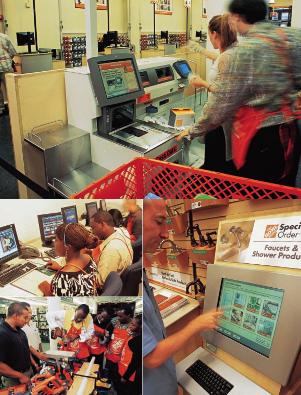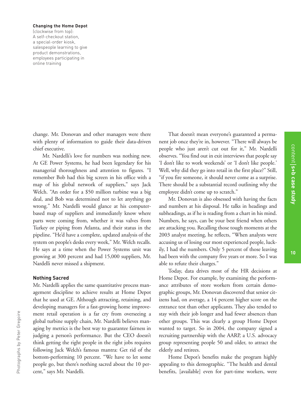# content | s+b case study **s+b case study**

#### **Changing the Home Depot**

(clockwise from top): A self-checkout station, a special-order kiosk, salespeople learning to give product demonstrations, employees participating in online training

change. Mr. Donovan and other managers were there with plenty of information to guide their data-driven chief executive.

Mr. Nardelli's love for numbers was nothing new. At GE Power Systems, he had been legendary for his managerial thoroughness and attention to figures. "I remember Bob had this big screen in his office with a map of his global network of suppliers," says Jack Welch. "An order for a \$50 million turbine was a big deal, and Bob was determined not to let anything go wrong." Mr. Nardelli would glance at his computerbased map of suppliers and immediately know where parts were coming from, whether it was valves from Turkey or piping from Atlanta, and their status in the pipeline. "He'd have a complete, updated analysis of the system on people's desks every week," Mr. Welch recalls. He says at a time when the Power Systems unit was growing at 300 percent and had 15,000 suppliers, Mr. Nardelli never missed a shipment.

#### **Nothing Sacred**

Mr. Nardelli applies the same quantitative process management discipline to achieve results at Home Depot that he used at GE. Although attracting, retaining, and developing managers for a fast-growing home improvement retail operation is a far cry from overseeing a global turbine supply chain, Mr. Nardelli believes managing by metrics is the best way to guarantee fairness in judging a person's performance. But the CEO doesn't think getting the right people in the right jobs requires following Jack Welch's famous mantra: Get rid of the bottom-performing 10 percent. "We have to let some people go, but there's nothing sacred about the 10 percent," says Mr. Nardelli.

That doesn't mean everyone's guaranteed a permanent job once they're in, however. "There will always be people who just aren't cut out for it," Mr. Nardelli observes. "You find out in exit interviews that people say 'I don't like to work weekends' or 'I don't like people.' Well, why did they go into retail in the first place?" Still, "if you fire someone, it should never come as a surprise. There should be a substantial record outlining why the employee didn't come up to scratch."

Mr. Donovan is also obsessed with having the facts and numbers at his disposal. He talks in headings and subheadings, as if he is reading from a chart in his mind. Numbers, he says, can be your best friend when others are attacking you. Recalling those tough moments at the 2003 analyst meeting, he reflects, "When analysts were accusing us of losing our most experienced people, luckily, I had the numbers. Only 5 percent of those leaving had been with the company five years or more. So I was able to refute their charges."

Today, data drives most of the HR decisions at Home Depot. For example, by examining the performance attributes of store workers from certain demographic groups, Mr. Donovan discovered that senior citizens had, on average, a 14 percent higher score on the entrance test than other applicants. They also tended to stay with their job longer and had fewer absences than other groups. This was clearly a group Home Depot wanted to target. So in 2004, the company signed a recruiting partnership with the AARP, a U.S. advocacy group representing people 50 and older, to attract the elderly and retirees.

Home Depot's benefits make the program highly appealing to this demographic. "The health and dental benefits, [available] even for part-time workers, were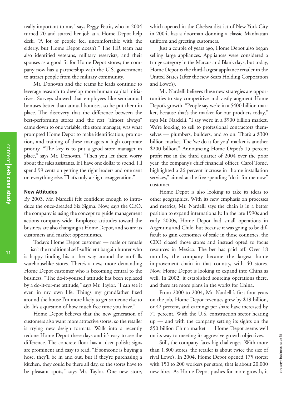really important to me," says Peggy Pettit, who in 2004 turned 70 and started her job at a Home Depot help desk. "A lot of people feel uncomfortable with the elderly, but Home Depot doesn't." The HR team has also identified veterans, military reservists, and their spouses as a good fit for Home Depot stores; the company now has a partnership with the U.S. government to attract people from the military community.

Mr. Donovan and the teams he leads continue to leverage research to develop more human capital initiatives. Surveys showed that employees like semiannual bonuses better than annual bonuses, so he put them in place. The discovery that the difference between the best-performing stores and the rest "almost always" came down to one variable, the store manager, was what prompted Home Depot to make identification, promotion, and training of these managers a high corporate priority. "The key is to put a good store manager in place," says Mr. Donovan. "Then you let them worry about the sales assistants. If I have one dollar to spend, I'll spend 99 cents on getting the right leaders and one cent on everything else. That's only a slight exaggeration."

#### **New Attitudes**

By 2003, Mr. Nardelli felt confident enough to introduce the once-dreaded Six Sigma. Now, says the CEO, the company is using the concept to guide management actions company-wide. Employee attitudes toward the business are also changing at Home Depot, and so are its customers and market opportunities.

Today's Home Depot customer — male or female — isn't the traditional self-sufficient bargain hunter who is happy finding his or her way around the no-frills warehouselike stores. There's a new, more demanding Home Depot customer who is becoming central to the business. "The do-it-yourself attitude has been replaced by a do-it-for-me attitude," says Mr. Taylor. "I can see it even in my own life. Things my grandfather fixed around the house I'm more likely to get someone else to do. It's a question of how much free time you have."

Home Depot believes that the new generation of customers also want more attractive stores, so the retailer is trying new design formats. Walk into a recently redone Home Depot these days and it's easy to see the difference. The concrete floor has a nicer polish; signs are prominent and easy to read. "If someone is buying a hose, they'll be in and out, but if they're purchasing a kitchen, they could be there all day, so the stores have to be pleasant spots," says Mr. Taylor. One new store,

which opened in the Chelsea district of New York City in 2004, has a doorman donning a classic Manhattan uniform and greeting customers.

Just a couple of years ago, Home Depot also began selling large appliances. Appliances were considered a fringe category in the Marcus and Blank days, but today, Home Depot is the third-largest appliance retailer in the United States (after the new Sears Holding Corporation and Lowe's).

Mr. Nardelli believes these new strategies are opportunities to stay competitive and vastly augment Home Depot's growth. "People say we're in a \$400 billion market, because that's the market for our products today," says Mr. Nardelli. "I say we're in a \$900 billion market. We're looking to sell to professional contractors themselves — plumbers, builders, and so on. That's a \$300 billion market. The 'we do it for you' market is another \$200 billion." Announcing Home Depot's 15 percent profit rise in the third quarter of 2004 over the prior year, the company's chief financial officer, Carol Tomé, highlighted a 26 percent increase in "home installation services," aimed at the free-spending "do it for me now" customer.

Home Depot is also looking to take its ideas to other geographies. With its new emphasis on processes and metrics, Mr. Nardelli says the chain is in a better position to expand internationally. In the late 1990s and early 2000s, Home Depot had small operations in Argentina and Chile, but because it was going to be difficult to gain economies of scale in those countries, the CEO closed those stores and instead opted to focus resources in Mexico. The bet has paid off. Over 18 months, the company became the largest home improvement chain in that country, with 40 stores. Now, Home Depot is looking to expand into China as well. In 2002, it established sourcing operations there, and there are more plans in the works for China.

From 2000 to 2004, Mr. Nardelli's first four years on the job, Home Depot revenues grew by \$19 billion, or 42 percent, and earnings per share have increased by 71 percent. With the U.S. construction sector heating up — and with the company setting its sights on the \$50 billion China market — Home Depot seems well on its way to meeting its aggressive growth objectives.

Still, the company faces big challenges. With more than 1,800 stores, the retailer is about twice the size of rival Lowe's. In 2004, Home Depot opened 175 stores; with 150 to 200 workers per store, that is about 20,000 new hires. As Home Depot pushes for more growth, it